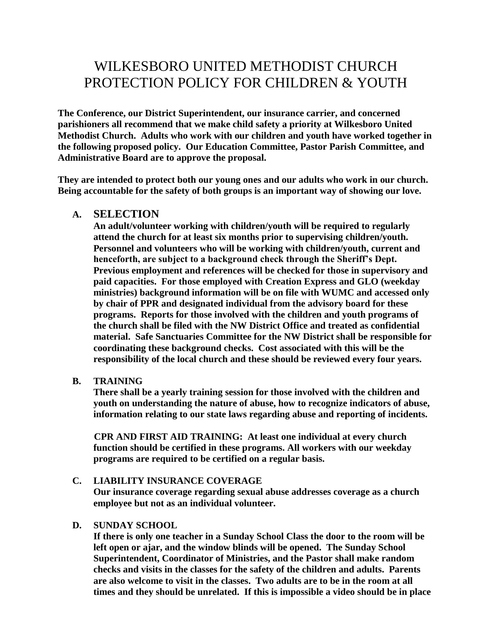# WILKESBORO UNITED METHODIST CHURCH PROTECTION POLICY FOR CHILDREN & YOUTH

**The Conference, our District Superintendent, our insurance carrier, and concerned parishioners all recommend that we make child safety a priority at Wilkesboro United Methodist Church. Adults who work with our children and youth have worked together in the following proposed policy. Our Education Committee, Pastor Parish Committee, and Administrative Board are to approve the proposal.**

**They are intended to protect both our young ones and our adults who work in our church. Being accountable for the safety of both groups is an important way of showing our love.**

## **A. SELECTION**

**An adult/volunteer working with children/youth will be required to regularly attend the church for at least six months prior to supervising children/youth. Personnel and volunteers who will be working with children/youth, current and henceforth, are subject to a background check through the Sheriff's Dept. Previous employment and references will be checked for those in supervisory and paid capacities. For those employed with Creation Express and GLO (weekday ministries) background information will be on file with WUMC and accessed only by chair of PPR and designated individual from the advisory board for these programs. Reports for those involved with the children and youth programs of the church shall be filed with the NW District Office and treated as confidential material. Safe Sanctuaries Committee for the NW District shall be responsible for coordinating these background checks. Cost associated with this will be the responsibility of the local church and these should be reviewed every four years.**

## **B. TRAINING**

**There shall be a yearly training session for those involved with the children and youth on understanding the nature of abuse, how to recognize indicators of abuse, information relating to our state laws regarding abuse and reporting of incidents.**

**CPR AND FIRST AID TRAINING: At least one individual at every church function should be certified in these programs. All workers with our weekday programs are required to be certified on a regular basis.**

#### **C. LIABILITY INSURANCE COVERAGE**

**Our insurance coverage regarding sexual abuse addresses coverage as a church employee but not as an individual volunteer.**

#### **D. SUNDAY SCHOOL**

**If there is only one teacher in a Sunday School Class the door to the room will be left open or ajar, and the window blinds will be opened. The Sunday School Superintendent, Coordinator of Ministries, and the Pastor shall make random checks and visits in the classes for the safety of the children and adults. Parents are also welcome to visit in the classes. Two adults are to be in the room at all times and they should be unrelated. If this is impossible a video should be in place**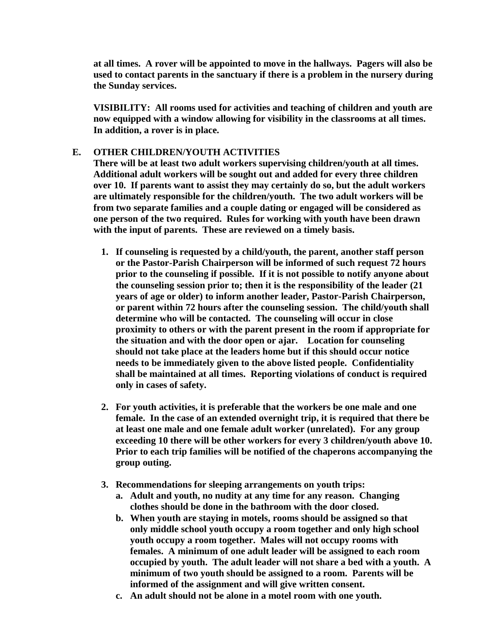**at all times. A rover will be appointed to move in the hallways. Pagers will also be used to contact parents in the sanctuary if there is a problem in the nursery during the Sunday services.**

**VISIBILITY: All rooms used for activities and teaching of children and youth are now equipped with a window allowing for visibility in the classrooms at all times. In addition, a rover is in place.**

## **E. OTHER CHILDREN/YOUTH ACTIVITIES**

**There will be at least two adult workers supervising children/youth at all times. Additional adult workers will be sought out and added for every three children over 10. If parents want to assist they may certainly do so, but the adult workers are ultimately responsible for the children/youth. The two adult workers will be from two separate families and a couple dating or engaged will be considered as one person of the two required. Rules for working with youth have been drawn with the input of parents. These are reviewed on a timely basis.**

- **1. If counseling is requested by a child/youth, the parent, another staff person or the Pastor-Parish Chairperson will be informed of such request 72 hours prior to the counseling if possible. If it is not possible to notify anyone about the counseling session prior to; then it is the responsibility of the leader (21 years of age or older) to inform another leader, Pastor-Parish Chairperson, or parent within 72 hours after the counseling session. The child/youth shall determine who will be contacted. The counseling will occur in close proximity to others or with the parent present in the room if appropriate for the situation and with the door open or ajar. Location for counseling should not take place at the leaders home but if this should occur notice needs to be immediately given to the above listed people. Confidentiality shall be maintained at all times. Reporting violations of conduct is required only in cases of safety.**
- **2. For youth activities, it is preferable that the workers be one male and one female. In the case of an extended overnight trip, it is required that there be at least one male and one female adult worker (unrelated). For any group exceeding 10 there will be other workers for every 3 children/youth above 10. Prior to each trip families will be notified of the chaperons accompanying the group outing.**
- **3. Recommendations for sleeping arrangements on youth trips:**
	- **a. Adult and youth, no nudity at any time for any reason. Changing clothes should be done in the bathroom with the door closed.**
	- **b. When youth are staying in motels, rooms should be assigned so that only middle school youth occupy a room together and only high school youth occupy a room together. Males will not occupy rooms with females. A minimum of one adult leader will be assigned to each room occupied by youth. The adult leader will not share a bed with a youth. A minimum of two youth should be assigned to a room. Parents will be informed of the assignment and will give written consent.**
	- **c. An adult should not be alone in a motel room with one youth.**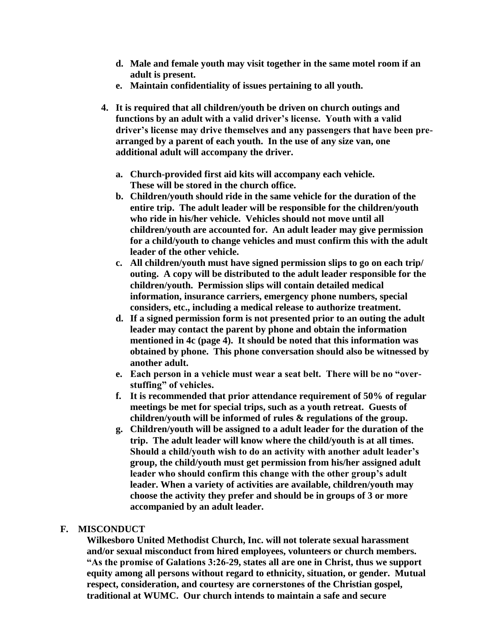- **d. Male and female youth may visit together in the same motel room if an adult is present.**
- **e. Maintain confidentiality of issues pertaining to all youth.**
- **4. It is required that all children/youth be driven on church outings and functions by an adult with a valid driver's license. Youth with a valid driver's license may drive themselves and any passengers that have been prearranged by a parent of each youth. In the use of any size van, one additional adult will accompany the driver.** 
	- **a. Church-provided first aid kits will accompany each vehicle. These will be stored in the church office.**
	- **b. Children/youth should ride in the same vehicle for the duration of the entire trip. The adult leader will be responsible for the children/youth who ride in his/her vehicle. Vehicles should not move until all children/youth are accounted for. An adult leader may give permission for a child/youth to change vehicles and must confirm this with the adult leader of the other vehicle.**
	- **c. All children/youth must have signed permission slips to go on each trip/ outing. A copy will be distributed to the adult leader responsible for the children/youth. Permission slips will contain detailed medical information, insurance carriers, emergency phone numbers, special considers, etc., including a medical release to authorize treatment.**
	- **d. If a signed permission form is not presented prior to an outing the adult leader may contact the parent by phone and obtain the information mentioned in 4c (page 4). It should be noted that this information was obtained by phone. This phone conversation should also be witnessed by another adult.**
	- **e. Each person in a vehicle must wear a seat belt. There will be no "overstuffing" of vehicles.**
	- **f. It is recommended that prior attendance requirement of 50% of regular meetings be met for special trips, such as a youth retreat. Guests of children/youth will be informed of rules & regulations of the group.**
	- **g. Children/youth will be assigned to a adult leader for the duration of the trip. The adult leader will know where the child/youth is at all times. Should a child/youth wish to do an activity with another adult leader's group, the child/youth must get permission from his/her assigned adult leader who should confirm this change with the other group's adult leader. When a variety of activities are available, children/youth may choose the activity they prefer and should be in groups of 3 or more accompanied by an adult leader.**

## **F. MISCONDUCT**

**Wilkesboro United Methodist Church, Inc. will not tolerate sexual harassment and/or sexual misconduct from hired employees, volunteers or church members. "As the promise of Galations 3:26-29, states all are one in Christ, thus we support equity among all persons without regard to ethnicity, situation, or gender. Mutual respect, consideration, and courtesy are cornerstones of the Christian gospel, traditional at WUMC. Our church intends to maintain a safe and secure**